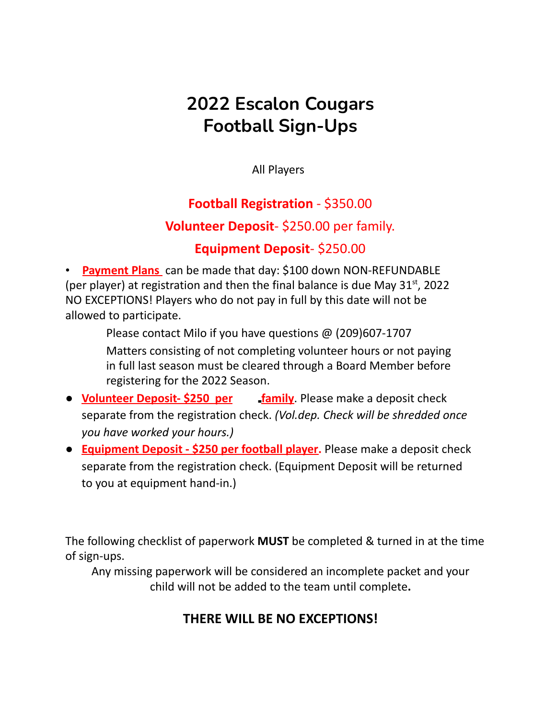# **2022 Escalon Cougars Football Sign-Ups**

All Players

#### **Football Registration** - \$350.00

#### **Volunteer Deposit**- \$250.00 per family.

#### **Equipment Deposit**- \$250.00

• **Payment Plans** can be made that day: \$100 down NON-REFUNDABLE (per player) at registration and then the final balance is due May  $31<sup>st</sup>$ , 2022 NO EXCEPTIONS! Players who do not pay in full by this date will not be allowed to participate.

Please contact Milo if you have questions @ (209)607-1707

Matters consisting of not completing volunteer hours or not paying in full last season must be cleared through a Board Member before registering for the 2022 Season.

- **Volunteer Deposit- \$250 per family**. Please make a deposit check separate from the registration check. *(Vol.dep. Check will be shredded once you have worked your hours.)*
- **Equipment Deposit - \$250 per football player.** Please make a deposit check separate from the registration check. (Equipment Deposit will be returned to you at equipment hand-in.)

The following checklist of paperwork **MUST** be completed & turned in at the time of sign-ups.

Any missing paperwork will be considered an incomplete packet and your child will not be added to the team until complete**.**

## **THERE WILL BE NO EXCEPTIONS!**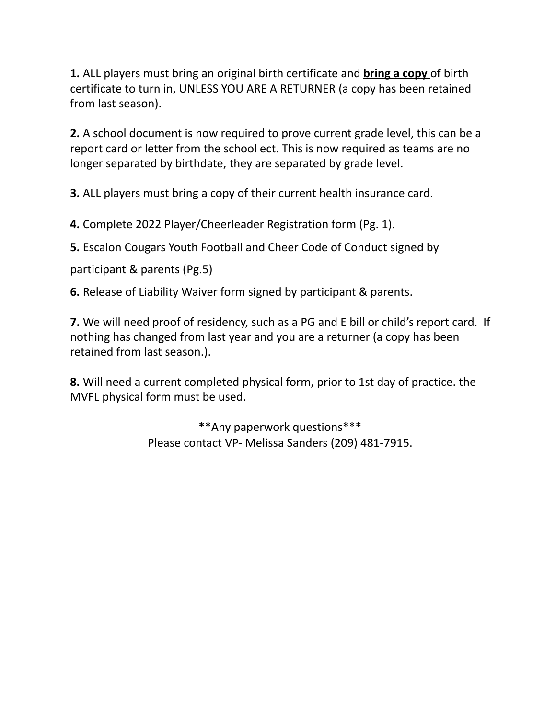**1.** ALL players must bring an original birth certificate and **bring a copy** of birth certificate to turn in, UNLESS YOU ARE A RETURNER (a copy has been retained from last season).

**2.** A school document is now required to prove current grade level, this can be a report card or letter from the school ect. This is now required as teams are no longer separated by birthdate, they are separated by grade level.

**3.** ALL players must bring a copy of their current health insurance card.

**4.** Complete 2022 Player/Cheerleader Registration form (Pg. 1).

**5.** Escalon Cougars Youth Football and Cheer Code of Conduct signed by

participant & parents (Pg.5)

**6.** Release of Liability Waiver form signed by participant & parents.

**7.** We will need proof of residency, such as a PG and E bill or child's report card. If nothing has changed from last year and you are a returner (a copy has been retained from last season.).

**8.** Will need a current completed physical form, prior to 1st day of practice. the MVFL physical form must be used.

> **\*\***Any paperwork questions\*\*\* Please contact VP- Melissa Sanders (209) 481-7915.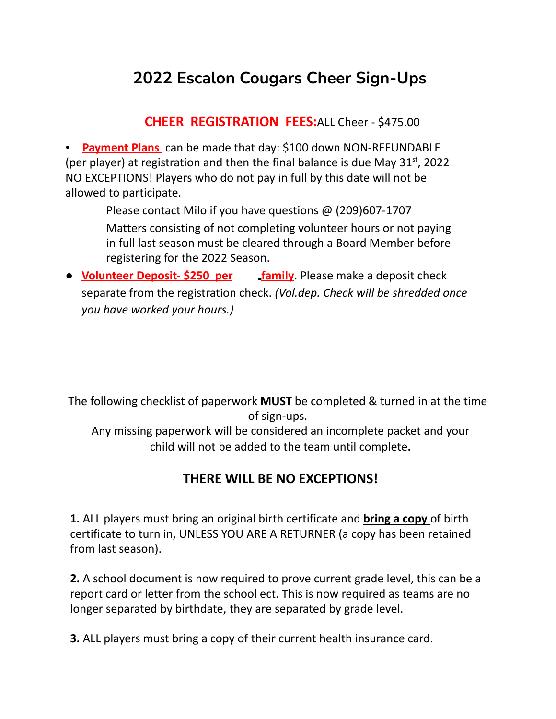# **2022 Escalon Cougars Cheer Sign-Ups**

**CHEER REGISTRATION FEES:**ALL Cheer - \$475.00

• **Payment Plans** can be made that day: \$100 down NON-REFUNDABLE (per player) at registration and then the final balance is due May  $31<sup>st</sup>$ , 2022 NO EXCEPTIONS! Players who do not pay in full by this date will not be allowed to participate.

Please contact Milo if you have questions @ (209)607-1707

Matters consisting of not completing volunteer hours or not paying in full last season must be cleared through a Board Member before registering for the 2022 Season.

● **Volunteer Deposit- \$250 per family**. Please make a deposit check separate from the registration check. *(Vol.dep. Check will be shredded once you have worked your hours.)*

The following checklist of paperwork **MUST** be completed & turned in at the time of sign-ups.

Any missing paperwork will be considered an incomplete packet and your child will not be added to the team until complete**.**

## **THERE WILL BE NO EXCEPTIONS!**

**1.** ALL players must bring an original birth certificate and **bring a copy** of birth certificate to turn in, UNLESS YOU ARE A RETURNER (a copy has been retained from last season).

**2.** A school document is now required to prove current grade level, this can be a report card or letter from the school ect. This is now required as teams are no longer separated by birthdate, they are separated by grade level.

**3.** ALL players must bring a copy of their current health insurance card.